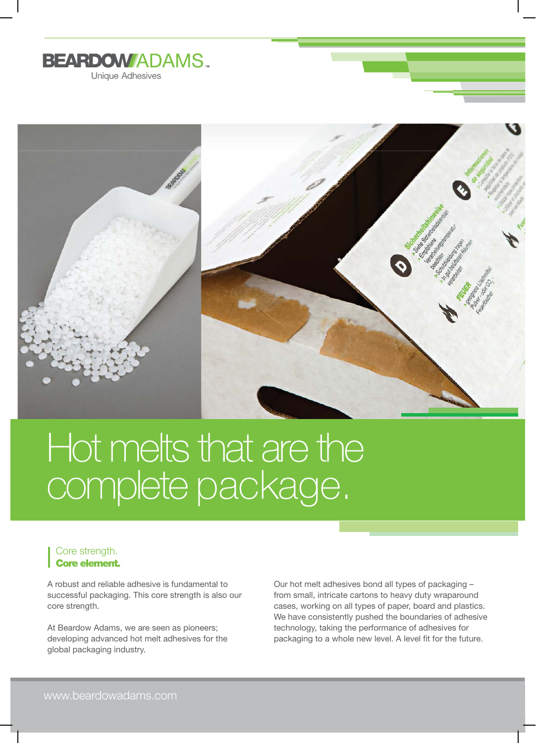



# Hot melts that are the complete package.

#### Core strength. Core element.

A robust and reliable adhesive is fundamental to successful packaging. This core strength is also our core strength.

At Beardow Adams, we are seen as pioneers; developing advanced hot melt adhesives for the global packaging industry.

Our hot melt adhesives bond all types of packaging – from small, intricate cartons to heavy duty wraparound cases, working on all types of paper, board and plastics. We have consistently pushed the boundaries of adhesive technology, taking the performance of adhesives for packaging to a whole new level. A level fit for the future.